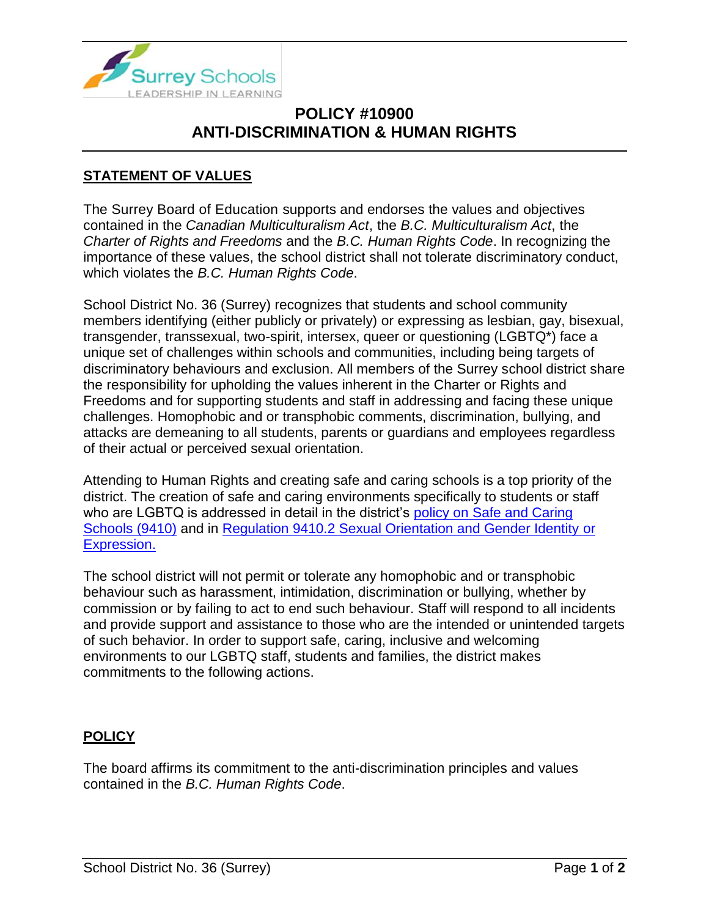

## **POLICY #10900 ANTI-DISCRIMINATION & HUMAN RIGHTS**

## **STATEMENT OF VALUES**

The Surrey Board of Education supports and endorses the values and objectives contained in the *Canadian Multiculturalism Act*, the *B.C. Multiculturalism Act*, the *Charter of Rights and Freedoms* and the *B.C. Human Rights Code*. In recognizing the importance of these values, the school district shall not tolerate discriminatory conduct, which violates the *B.C. Human Rights Code*.

School District No. 36 (Surrey) recognizes that students and school community members identifying (either publicly or privately) or expressing as lesbian, gay, bisexual, transgender, transsexual, two-spirit, intersex, queer or questioning (LGBTQ\*) face a unique set of challenges within schools and communities, including being targets of discriminatory behaviours and exclusion. All members of the Surrey school district share the responsibility for upholding the values inherent in the Charter or Rights and Freedoms and for supporting students and staff in addressing and facing these unique challenges. Homophobic and or transphobic comments, discrimination, bullying, and attacks are demeaning to all students, parents or guardians and employees regardless of their actual or perceived sexual orientation.

Attending to Human Rights and creating safe and caring schools is a top priority of the district. The creation of safe and caring environments specifically to students or staff who are LGBTQ is addressed in detail in the district's policy on Safe and Caring [Schools \(9410\)](https://www.surreyschools.ca/departments/SECT/PoliciesRegulations/section_9000/Documents/9410%20Policy.pdf) and in [Regulation 9410.2 Sexual Orientation and Gender Identity](https://www.surreyschools.ca/departments/SECT/PoliciesRegulations/section_9000/Documents/9410.2%20Regulation.pdf) or [Expression.](https://www.surreyschools.ca/departments/SECT/PoliciesRegulations/section_9000/Documents/9410.2%20Regulation.pdf)

The school district will not permit or tolerate any homophobic and or transphobic behaviour such as harassment, intimidation, discrimination or bullying, whether by commission or by failing to act to end such behaviour. Staff will respond to all incidents and provide support and assistance to those who are the intended or unintended targets of such behavior. In order to support safe, caring, inclusive and welcoming environments to our LGBTQ staff, students and families, the district makes commitments to the following actions.

## **POLICY**

The board affirms its commitment to the anti-discrimination principles and values contained in the *B.C. Human Rights Code*.